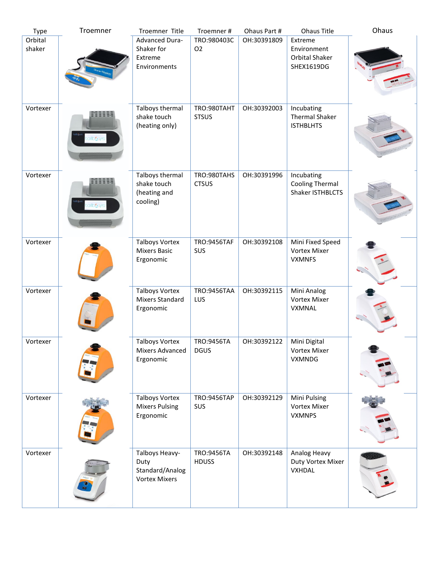| Type              | Troemner          | Troemner Title                                                    | Troemner#                   | Ohaus Part # | <b>Ohaus Title</b>                                              | Ohaus |
|-------------------|-------------------|-------------------------------------------------------------------|-----------------------------|--------------|-----------------------------------------------------------------|-------|
| Orbital<br>shaker |                   | Advanced Dura-<br>Shaker for<br>Extreme<br>Environments           | TRO:980403C<br>02           | OH:30391809  | Extreme<br>Environment<br>Orbital Shaker<br>SHEX1619DG          |       |
| Vortexer          | albG              | Talboys thermal<br>shake touch<br>(heating only)                  | TRO:980TAHT<br><b>STSUS</b> | OH:30392003  | Incubating<br><b>Thermal Shaker</b><br><b>ISTHBLHTS</b>         |       |
| Vortexer          | albG <sub>)</sub> | Talboys thermal<br>shake touch<br>(heating and<br>cooling)        | TRO:980TAHS<br><b>CTSUS</b> | OH:30391996  | Incubating<br><b>Cooling Thermal</b><br><b>Shaker ISTHBLCTS</b> |       |
| Vortexer          |                   | <b>Talboys Vortex</b><br><b>Mixers Basic</b><br>Ergonomic         | TRO:9456TAF<br>SUS          | OH:30392108  | Mini Fixed Speed<br><b>Vortex Mixer</b><br><b>VXMNFS</b>        |       |
| Vortexer          |                   | <b>Talboys Vortex</b><br><b>Mixers Standard</b><br>Ergonomic      | TRO:9456TAA<br>LUS          | OH:30392115  | Mini Analog<br>Vortex Mixer<br><b>VXMNAL</b>                    |       |
| Vortexer          |                   | <b>Talboys Vortex</b><br>Mixers Advanced<br>Ergonomic             | TRO:9456TA<br><b>DGUS</b>   | OH:30392122  | Mini Digital<br>Vortex Mixer<br><b>VXMNDG</b>                   |       |
| Vortexer          |                   | <b>Talboys Vortex</b><br><b>Mixers Pulsing</b><br>Ergonomic       | TRO:9456TAP<br>SUS          | OH:30392129  | Mini Pulsing<br><b>Vortex Mixer</b><br><b>VXMNPS</b>            |       |
| Vortexer          |                   | Talboys Heavy-<br>Duty<br>Standard/Analog<br><b>Vortex Mixers</b> | TRO:9456TA<br><b>HDUSS</b>  | OH:30392148  | Analog Heavy<br>Duty Vortex Mixer<br>VXHDAL                     |       |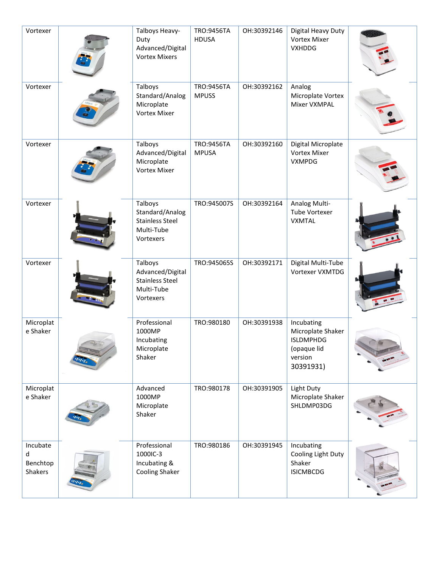| Vortexer                                    | Talboys Heavy-<br>Duty<br>Advanced/Digital<br><b>Vortex Mixers</b>               | TRO:9456TA<br><b>HDUSA</b> | OH:30392146 | Digital Heavy Duty<br>Vortex Mixer<br><b>VXHDDG</b>                                        |  |
|---------------------------------------------|----------------------------------------------------------------------------------|----------------------------|-------------|--------------------------------------------------------------------------------------------|--|
| Vortexer                                    | Talboys<br>Standard/Analog<br>Microplate<br>Vortex Mixer                         | TRO:9456TA<br><b>MPUSS</b> | OH:30392162 | Analog<br>Microplate Vortex<br>Mixer VXMPAL                                                |  |
| Vortexer                                    | Talboys<br>Advanced/Digital<br>Microplate<br><b>Vortex Mixer</b>                 | TRO:9456TA<br><b>MPUSA</b> | OH:30392160 | Digital Microplate<br>Vortex Mixer<br><b>VXMPDG</b>                                        |  |
| Vortexer                                    | Talboys<br>Standard/Analog<br><b>Stainless Steel</b><br>Multi-Tube<br>Vortexers  | TRO:945007S                | OH:30392164 | Analog Multi-<br>Tube Vortexer<br><b>VXMTAL</b>                                            |  |
| Vortexer                                    | Talboys<br>Advanced/Digital<br><b>Stainless Steel</b><br>Multi-Tube<br>Vortexers | TRO:945065S                | OH:30392171 | Digital Multi-Tube<br>Vortexer VXMTDG                                                      |  |
| Microplat<br>e Shaker                       | Professional<br>1000MP<br>Incubating<br>Microplate<br>Shaker                     | TRO:980180                 | OH:30391938 | Incubating<br>Microplate Shaker<br><b>ISLDMPHDG</b><br>(opaque lid<br>version<br>30391931) |  |
| Microplat<br>e Shaker                       | Advanced<br>1000MP<br>Microplate<br>Shaker                                       | TRO:980178                 | OH:30391905 | Light Duty<br>Microplate Shaker<br>SHLDMP03DG                                              |  |
| Incubate<br>d<br>Benchtop<br><b>Shakers</b> | Professional<br>1000IC-3<br>Incubating &<br><b>Cooling Shaker</b>                | TRO:980186                 | OH:30391945 | Incubating<br>Cooling Light Duty<br>Shaker<br><b>ISICMBCDG</b>                             |  |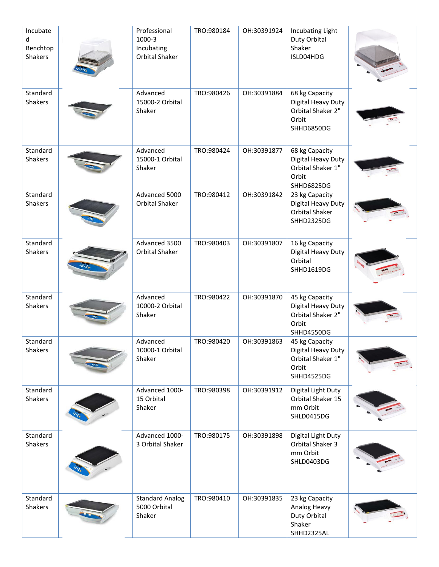| Incubate<br>d<br>Benchtop<br><b>Shakers</b> | Professional<br>1000-3<br>Incubating<br><b>Orbital Shaker</b> | TRO:980184 | OH:30391924 | Incubating Light<br>Duty Orbital<br>Shaker<br>ISLD04HDG                          |  |
|---------------------------------------------|---------------------------------------------------------------|------------|-------------|----------------------------------------------------------------------------------|--|
| Standard<br><b>Shakers</b>                  | Advanced<br>15000-2 Orbital<br>Shaker                         | TRO:980426 | OH:30391884 | 68 kg Capacity<br>Digital Heavy Duty<br>Orbital Shaker 2"<br>Orbit<br>SHHD6850DG |  |
| Standard<br><b>Shakers</b>                  | Advanced<br>15000-1 Orbital<br>Shaker                         | TRO:980424 | OH:30391877 | 68 kg Capacity<br>Digital Heavy Duty<br>Orbital Shaker 1"<br>Orbit<br>SHHD6825DG |  |
| Standard<br><b>Shakers</b>                  | Advanced 5000<br><b>Orbital Shaker</b>                        | TRO:980412 | OH:30391842 | 23 kg Capacity<br>Digital Heavy Duty<br><b>Orbital Shaker</b><br>SHHD2325DG      |  |
| Standard<br><b>Shakers</b>                  | Advanced 3500<br><b>Orbital Shaker</b>                        | TRO:980403 | OH:30391807 | 16 kg Capacity<br>Digital Heavy Duty<br>Orbital<br>SHHD1619DG                    |  |
| Standard<br><b>Shakers</b>                  | Advanced<br>10000-2 Orbital<br>Shaker                         | TRO:980422 | OH:30391870 | 45 kg Capacity<br>Digital Heavy Duty<br>Orbital Shaker 2"<br>Orbit<br>SHHD4550DG |  |
| Standard<br>Shakers                         | Advanced<br>10000-1 Orbital<br>Shaker                         | TRO:980420 | OH:30391863 | 45 kg Capacity<br>Digital Heavy Duty<br>Orbital Shaker 1"<br>Orbit<br>SHHD4525DG |  |
| Standard<br><b>Shakers</b>                  | Advanced 1000-<br>15 Orbital<br>Shaker                        | TRO:980398 | OH:30391912 | Digital Light Duty<br>Orbital Shaker 15<br>mm Orbit<br>SHLD0415DG                |  |
| Standard<br><b>Shakers</b>                  | Advanced 1000-<br>3 Orbital Shaker                            | TRO:980175 | OH:30391898 | Digital Light Duty<br>Orbital Shaker 3<br>mm Orbit<br>SHLD0403DG                 |  |
| Standard<br><b>Shakers</b>                  | <b>Standard Analog</b><br>5000 Orbital<br>Shaker              | TRO:980410 | OH:30391835 | 23 kg Capacity<br>Analog Heavy<br>Duty Orbital<br>Shaker<br>SHHD2325AL           |  |